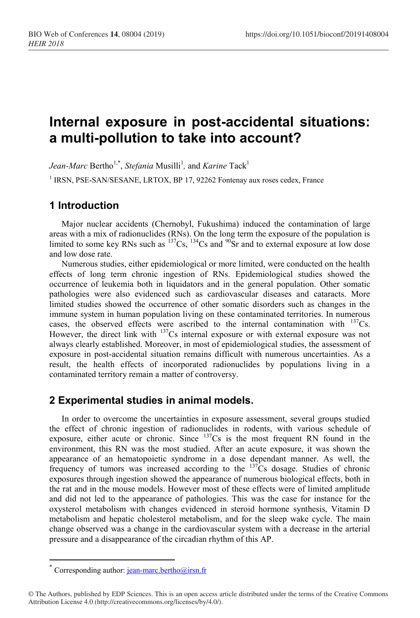# **Internal exposure in post-accidental situations: a multi-pollution to take into account?**

*Jean-Marc* Bertho<sup>1,\*</sup>, *Stefania* Musilli<sup>1</sup>, and *Karine* Tack<sup>1</sup>

<sup>1</sup> IRSN, PSE-SAN/SESANE, LRTOX, BP 17, 92262 Fontenay aux roses cedex, France

## **1 Introduction**

Major nuclear accidents (Chernobyl, Fukushima) induced the contamination of large areas with a mix of radionuclides (RNs). On the long term the exposure of the population is limited to some key RNs such as  $^{137}Cs$ ,  $^{134}Cs$  and  $^{90}Sr$  and to external exposure at low dose and low dose rate.

Numerous studies, either epidemiological or more limited, were conducted on the health effects of long term chronic ingestion of RNs. Epidemiological studies showed the occurrence of leukemia both in liquidators and in the general population. Other somatic pathologies were also evidenced such as cardiovascular diseases and cataracts. More limited studies showed the occurrence of other somatic disorders such as changes in the immune system in human population living on these contaminated territories. In numerous cases, the observed effects were ascribed to the internal contamination with  $^{137}Cs$ . However, the direct link with <sup>137</sup>Cs internal exposure or with external exposure was not always clearly established. Moreover, in most of epidemiological studies, the assessment of exposure in post-accidental situation remains difficult with numerous uncertainties. As a result, the health effects of incorporated radionuclides by populations living in a contaminated territory remain a matter of controversy.

### **2 Experimental studies in animal models.**

In order to overcome the uncertainties in exposure assessment, several groups studied the effect of chronic ingestion of radionuclides in rodents, with various schedule of exposure, either acute or chronic. Since  $137Cs$  is the most frequent RN found in the environment, this RN was the most studied. After an acute exposure, it was shown the appearance of an hematopoietic syndrome in a dose dependant manner. As well, the frequency of tumors was increased according to the <sup>137</sup>Cs dosage. Studies of chronic exposures through ingestion showed the appearance of numerous biological effects, both in the rat and in the mouse models. However most of these effects were of limited amplitude and did not led to the appearance of pathologies. This was the case for instance for the oxysterol metabolism with changes evidenced in steroid hormone synthesis, Vitamin D metabolism and hepatic cholesterol metabolism, and for the sleep wake cycle. The main change observed was a change in the cardiovascular system with a decrease in the arterial pressure and a disappearance of the circadian rhythm of this AP.

 $\overline{a}$ 

<sup>\*</sup> Corresponding author: [jean-marc.bertho@irsn.fr](mailto:jean-marc.bertho@irsn.fr)

<sup>©</sup> The Authors, published by EDP Sciences. This is an open access article distributed under the terms of the Creative Commons Attribution License 4.0 (http://creativecommons.org/licenses/by/4.0/).